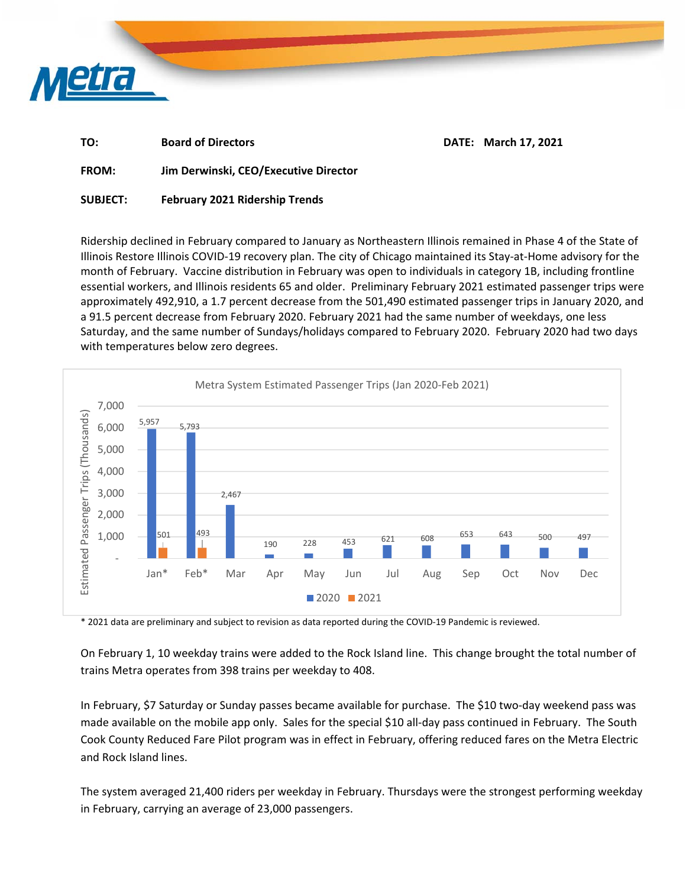

| TO:         | <b>Board of Directors</b> | DATE: March 17, 2021 |
|-------------|---------------------------|----------------------|
| $- - - - -$ | .<br>---                  |                      |

**FROM: Jim Derwinski, CEO/Executive Director** 

**SUBJECT: February 2021 Ridership Trends** 

Ridership declined in February compared to January as Northeastern Illinois remained in Phase 4 of the State of Illinois Restore Illinois COVID‐19 recovery plan. The city of Chicago maintained its Stay‐at‐Home advisory for the month of February. Vaccine distribution in February was open to individuals in category 1B, including frontline essential workers, and Illinois residents 65 and older. Preliminary February 2021 estimated passenger trips were approximately 492,910, a 1.7 percent decrease from the 501,490 estimated passenger trips in January 2020, and a 91.5 percent decrease from February 2020. February 2021 had the same number of weekdays, one less Saturday, and the same number of Sundays/holidays compared to February 2020. February 2020 had two days with temperatures below zero degrees.



\* 2021 data are preliminary and subject to revision as data reported during the COVID‐19 Pandemic is reviewed.

On February 1, 10 weekday trains were added to the Rock Island line. This change brought the total number of trains Metra operates from 398 trains per weekday to 408.

In February, \$7 Saturday or Sunday passes became available for purchase. The \$10 two‐day weekend pass was made available on the mobile app only. Sales for the special \$10 all-day pass continued in February. The South Cook County Reduced Fare Pilot program was in effect in February, offering reduced fares on the Metra Electric and Rock Island lines.

The system averaged 21,400 riders per weekday in February. Thursdays were the strongest performing weekday in February, carrying an average of 23,000 passengers.